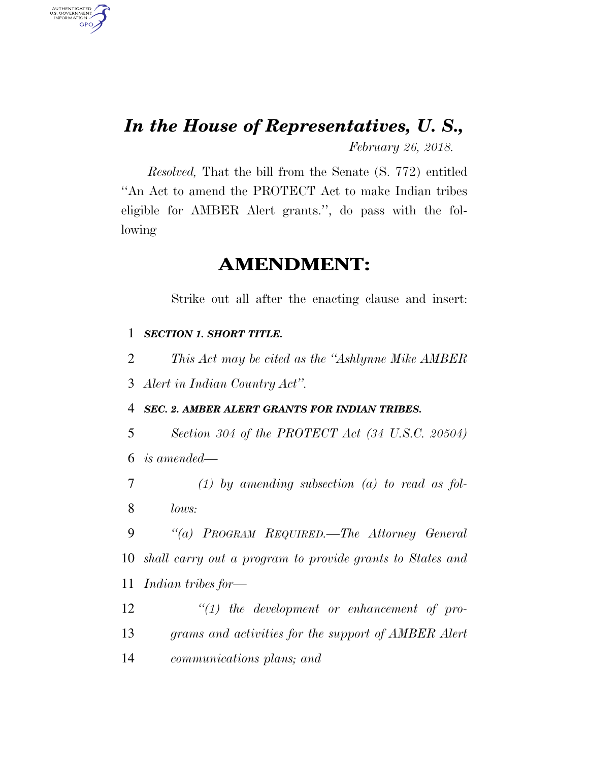# *In the House of Representatives, U. S.,*

*February 26, 2018.* 

*Resolved,* That the bill from the Senate (S. 772) entitled ''An Act to amend the PROTECT Act to make Indian tribes eligible for AMBER Alert grants.'', do pass with the following

# **AMENDMENT:**

Strike out all after the enacting clause and insert:

### 1 *SECTION 1. SHORT TITLE.*

AUTHENTICATED<br>U.S. GOVERNMENT<br>INFORMATION **GPO** 

2 *This Act may be cited as the ''Ashlynne Mike AMBER* 

3 *Alert in Indian Country Act''.* 

4 *SEC. 2. AMBER ALERT GRANTS FOR INDIAN TRIBES.* 

5 *Section 304 of the PROTECT Act (34 U.S.C. 20504)*  6 *is amended—* 

7 *(1) by amending subsection (a) to read as fol-*8 *lows:* 

9 *''(a) PROGRAM REQUIRED.—The Attorney General*  10 *shall carry out a program to provide grants to States and*  11 *Indian tribes for—* 

12 *''(1) the development or enhancement of pro-*13 *grams and activities for the support of AMBER Alert*  14 *communications plans; and*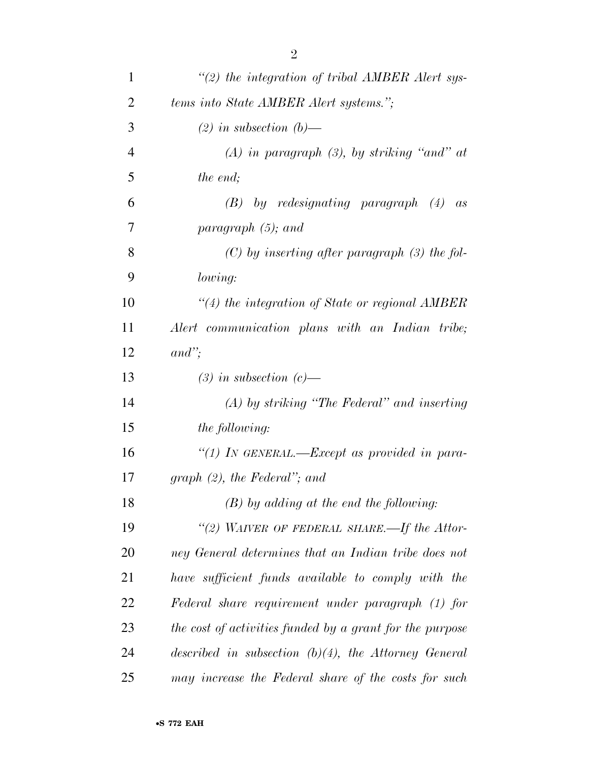| $\mathbf{1}$   | $\lq (2)$ the integration of tribal AMBER Alert sys-     |
|----------------|----------------------------------------------------------|
| $\overline{2}$ | tems into State AMBER Alert systems.";                   |
| 3              | $(2)$ in subsection $(b)$ —                              |
| $\overline{4}$ | $(A)$ in paragraph $(B)$ , by striking "and" at          |
| 5              | the end;                                                 |
| 6              | $(B)$ by redesignating paragraph $(4)$<br>as             |
| 7              | paragraph $(5)$ ; and                                    |
| 8              | $(C)$ by inserting after paragraph (3) the fol-          |
| 9              | lowing:                                                  |
| 10             | $\lq(4)$ the integration of State or regional AMBER      |
| 11             | Alert communication plans with an Indian tribe;          |
| 12             | $and$ ";                                                 |
| 13             | $(3)$ in subsection $(c)$ —                              |
| 14             | $(A)$ by striking "The Federal" and inserting            |
| 15             | <i>the following:</i>                                    |
| 16             | "(1) IN GENERAL.—Except as provided in para-             |
| 17             | graph $(2)$ , the Federal"; and                          |
| 18             | $(B)$ by adding at the end the following:                |
| 19             | "(2) WAIVER OF FEDERAL SHARE.—If the Attor-              |
| 20             | ney General determines that an Indian tribe does not     |
| 21             | have sufficient funds available to comply with the       |
| 22             | Federal share requirement under paragraph (1) for        |
| 23             | the cost of activities funded by a grant for the purpose |
| 24             | described in subsection $(b)(4)$ , the Attorney General  |
| 25             | may increase the Federal share of the costs for such     |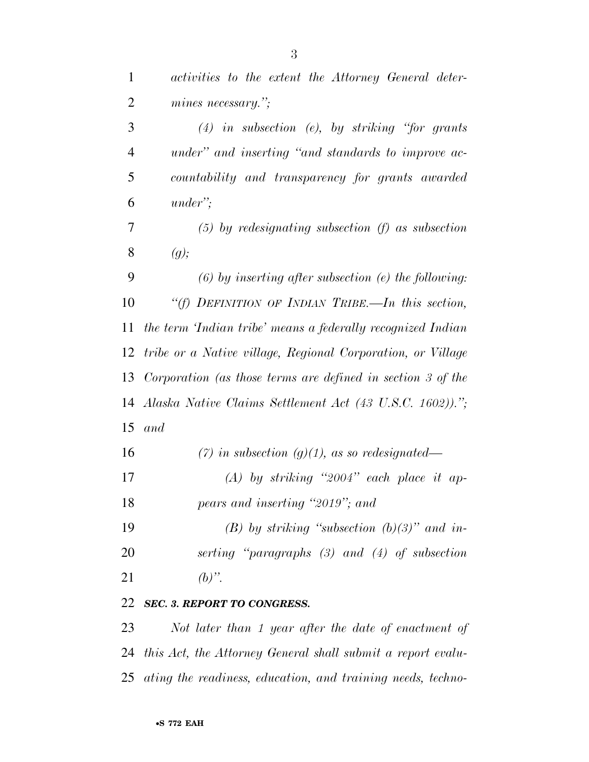| $\mathbf{1}$   | activities to the extent the Attorney General deter-        |
|----------------|-------------------------------------------------------------|
| $\overline{2}$ | mines necessary.";                                          |
| 3              | $(4)$ in subsection (e), by striking "for grants"           |
| $\overline{4}$ | under" and inserting "and standards to improve ac-          |
| 5              | countability and transparency for grants awarded            |
| 6              | $under$ ";                                                  |
| 7              | $(5)$ by redesignating subsection (f) as subsection         |
| 8              | (g);                                                        |
| 9              | $(6)$ by inserting after subsection (e) the following:      |
| 10             | "(f) DEFINITION OF INDIAN TRIBE.—In this section,           |
| 11             | the term 'Indian tribe' means a federally recognized Indian |
| 12             | tribe or a Native village, Regional Corporation, or Village |
| 13             | Corporation (as those terms are defined in section 3 of the |
| 14             | Alaska Native Claims Settlement Act (43 U.S.C. 1602)).";    |
| 15             | and                                                         |
| 16             | (7) in subsection (g)(1), as so redesignated—               |
| 17             | $(A)$ by striking "2004" each place it ap-                  |
| 18             | pears and inserting "2019"; and                             |
| 19             | (B) by striking "subsection $(b)(3)$ " and in-              |
| 20             | serting "paragraphs $(3)$ and $(4)$ of subsection           |
| 21             | $(b)$ ".                                                    |
| 22             | <b>SEC. 3. REPORT TO CONGRESS.</b>                          |
| 23             | Not later than 1 year after the date of enactment of        |
|                |                                                             |

 *this Act, the Attorney General shall submit a report evalu-ating the readiness, education, and training needs, techno-*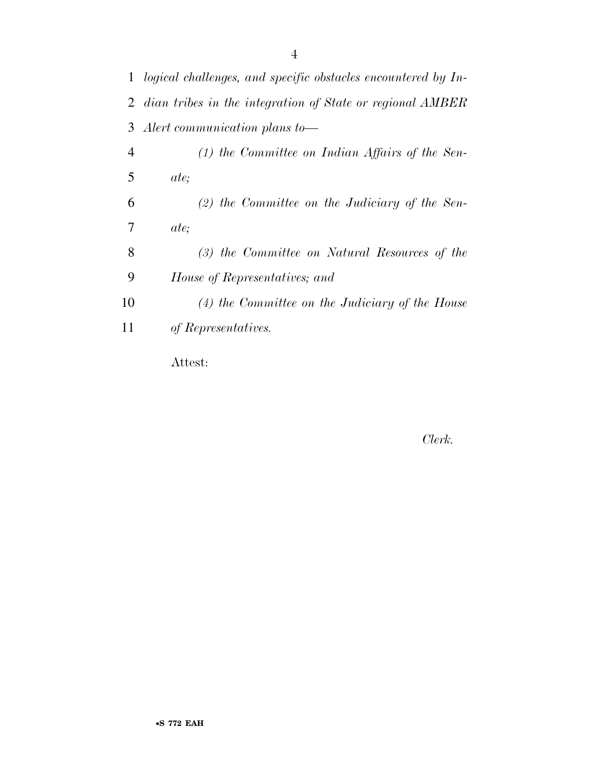|                | 1 logical challenges, and specific obstacles encountered by In- |
|----------------|-----------------------------------------------------------------|
|                | 2 dian tribes in the integration of State or regional AMBER     |
| 3              | Alert communication plans to-                                   |
| $\overline{4}$ | $(1)$ the Committee on Indian Affairs of the Sen-               |
| 5              | <i>ate</i> ;                                                    |
| 6              | $(2)$ the Committee on the Judiciary of the Sen-                |
| 7              | <i>ate</i> ;                                                    |
| 8              | (3) the Committee on Natural Resources of the                   |
| 9              | House of Representatives; and                                   |
| 10             | $(4)$ the Committee on the Judiciary of the House               |
| 11             | of Representatives.                                             |
|                | Attest:                                                         |

## *Clerk.*